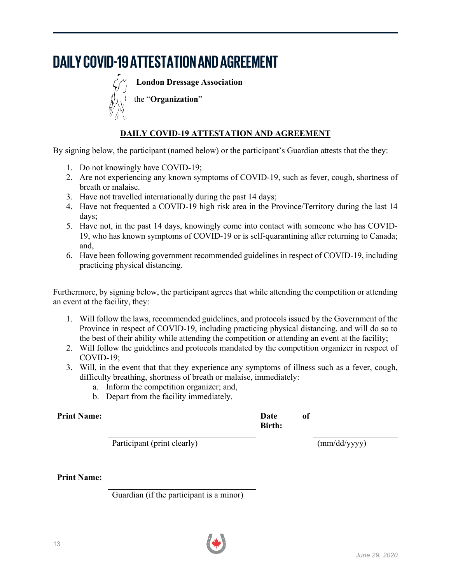# **DAILY COVID-19 ATTESTATION AND AGREEMENT**



**London Dressage Association**

the "**Organization**"

# **DAILY COVID-19 ATTESTATION AND AGREEMENT**

By signing below, the participant (named below) or the participant's Guardian attests that the they:

- 1. Do not knowingly have COVID-19;
- 2. Are not experiencing any known symptoms of COVID-19, such as fever, cough, shortness of breath or malaise.
- 3. Have not travelled internationally during the past 14 days;
- 4. Have not frequented a COVID-19 high risk area in the Province/Territory during the last 14 days;
- 5. Have not, in the past 14 days, knowingly come into contact with someone who has COVID-19, who has known symptoms of COVID-19 or is self-quarantining after returning to Canada; and,
- 6. Have been following government recommended guidelines in respect of COVID-19, including practicing physical distancing.

Furthermore, by signing below, the participant agrees that while attending the competition or attending an event at the facility, they:

- 1. Will follow the laws, recommended guidelines, and protocols issued by the Government of the Province in respect of COVID-19, including practicing physical distancing, and will do so to the best of their ability while attending the competition or attending an event at the facility;
- 2. Will follow the guidelines and protocols mandated by the competition organizer in respect of COVID-19;
- 3. Will, in the event that that they experience any symptoms of illness such as a fever, cough, difficulty breathing, shortness of breath or malaise, immediately:
	- a. Inform the competition organizer; and,
	- b. Depart from the facility immediately.

## **Print Name: Date of**

**Birth:** 

Participant (print clearly) (mm/dd/yyyy)

**Print Name:**

Guardian (if the participant is a minor)

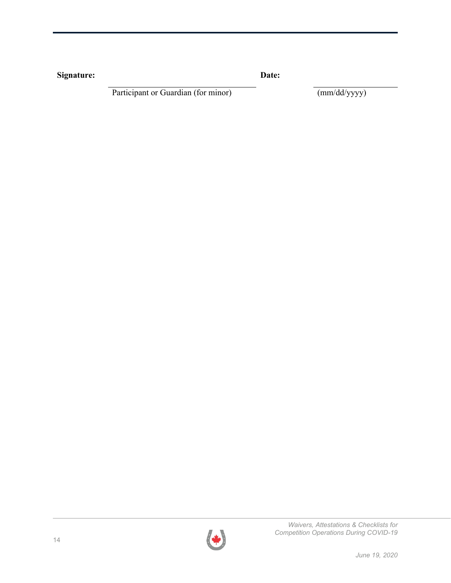| Signature: | Date: |
|------------|-------|
|            |       |

Participant or Guardian (for minor) (mm/dd/yyyy)

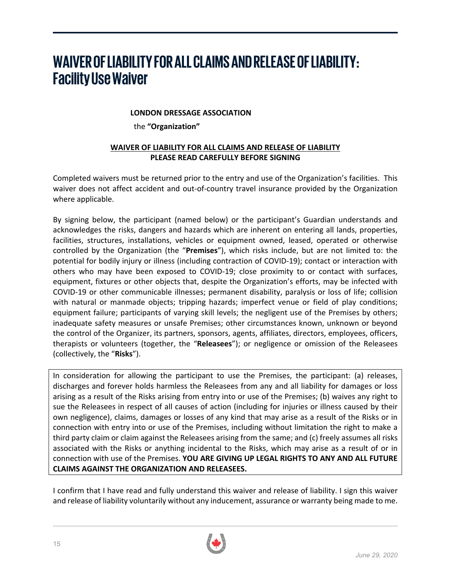# **WAIVER OF LIABILITY FOR ALL CLAIMS AND RELEASE OF LIABILITY: Facility Use Waiver**

## **LONDON DRESSAGE ASSOCIATION**

the **"Organization"**

## **WAIVER OF LIABILITY FOR ALL CLAIMS AND RELEASE OF LIABILITY PLEASE READ CAREFULLY BEFORE SIGNING**

Completed waivers must be returned prior to the entry and use of the Organization's facilities. This waiver does not affect accident and out-of-country travel insurance provided by the Organization where applicable.

By signing below, the participant (named below) or the participant's Guardian understands and acknowledges the risks, dangers and hazards which are inherent on entering all lands, properties, facilities, structures, installations, vehicles or equipment owned, leased, operated or otherwise controlled by the Organization (the "**Premises**"), which risks include, but are not limited to: the potential for bodily injury or illness (including contraction of COVID-19); contact or interaction with others who may have been exposed to COVID-19; close proximity to or contact with surfaces, equipment, fixtures or other objects that, despite the Organization's efforts, may be infected with COVID-19 or other communicable illnesses; permanent disability, paralysis or loss of life; collision with natural or manmade objects; tripping hazards; imperfect venue or field of play conditions; equipment failure; participants of varying skill levels; the negligent use of the Premises by others; inadequate safety measures or unsafe Premises; other circumstances known, unknown or beyond the control of the Organizer, its partners, sponsors, agents, affiliates, directors, employees, officers, therapists or volunteers (together, the "**Releasees**"); or negligence or omission of the Releasees (collectively, the "**Risks**").

In consideration for allowing the participant to use the Premises, the participant: (a) releases, discharges and forever holds harmless the Releasees from any and all liability for damages or loss arising as a result of the Risks arising from entry into or use of the Premises; (b) waives any right to sue the Releasees in respect of all causes of action (including for injuries or illness caused by their own negligence), claims, damages or losses of any kind that may arise as a result of the Risks or in connection with entry into or use of the Premises, including without limitation the right to make a third party claim or claim against the Releasees arising from the same; and (c) freely assumes all risks associated with the Risks or anything incidental to the Risks, which may arise as a result of or in connection with use of the Premises. **YOU ARE GIVING UP LEGAL RIGHTS TO ANY AND ALL FUTURE CLAIMS AGAINST THE ORGANIZATION AND RELEASEES.**

I confirm that I have read and fully understand this waiver and release of liability. I sign this waiver and release of liability voluntarily without any inducement, assurance or warranty being made to me.

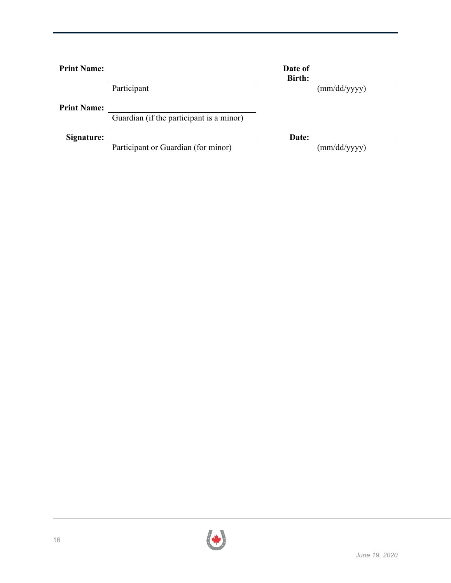**Print Name: Date of Date of** 

**Print Name:**

Guardian (if the participant is a minor)

**Signature:** Date:

Participant or Guardian (for minor) (mm/dd/yyyy)

**Birth:** Participant (mm/dd/yyyy)

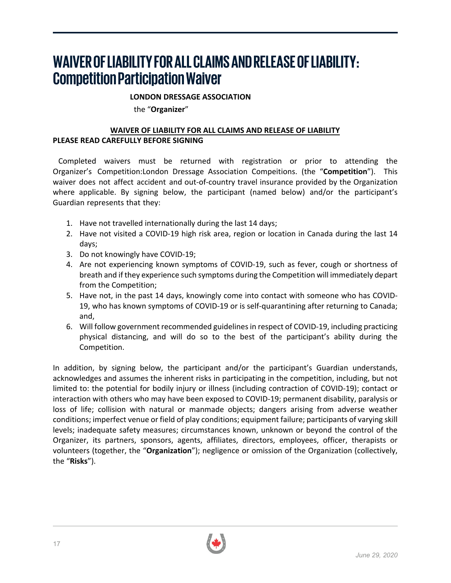# **WAIVER OF LIABILITY FOR ALL CLAIMS AND RELEASE OF LIABILITY: CompetitionParticipation Waiver**

## **LONDON DRESSAGE ASSOCIATION**

the "**Organizer**"

## **WAIVER OF LIABILITY FOR ALL CLAIMS AND RELEASE OF LIABILITY PLEASE READ CAREFULLY BEFORE SIGNING**

Completed waivers must be returned with registration or prior to attending the Organizer's Competition:London Dressage Association Compeitions. (the "**Competition**"). This waiver does not affect accident and out-of-country travel insurance provided by the Organization where applicable. By signing below, the participant (named below) and/or the participant's Guardian represents that they:

- 1. Have not travelled internationally during the last 14 days;
- 2. Have not visited a COVID-19 high risk area, region or location in Canada during the last 14 days;
- 3. Do not knowingly have COVID-19;
- 4. Are not experiencing known symptoms of COVID-19, such as fever, cough or shortness of breath and if they experience such symptoms during the Competition will immediately depart from the Competition;
- 5. Have not, in the past 14 days, knowingly come into contact with someone who has COVID-19, who has known symptoms of COVID-19 or is self-quarantining after returning to Canada; and,
- 6. Will follow government recommended guidelines in respect of COVID-19, including practicing physical distancing, and will do so to the best of the participant's ability during the Competition.

In addition, by signing below, the participant and/or the participant's Guardian understands, acknowledges and assumes the inherent risks in participating in the competition, including, but not limited to: the potential for bodily injury or illness (including contraction of COVID-19); contact or interaction with others who may have been exposed to COVID-19; permanent disability, paralysis or loss of life; collision with natural or manmade objects; dangers arising from adverse weather conditions; imperfect venue or field of play conditions; equipment failure; participants of varying skill levels; inadequate safety measures; circumstances known, unknown or beyond the control of the Organizer, its partners, sponsors, agents, affiliates, directors, employees, officer, therapists or volunteers (together, the "**Organization**"); negligence or omission of the Organization (collectively, the "**Risks**").

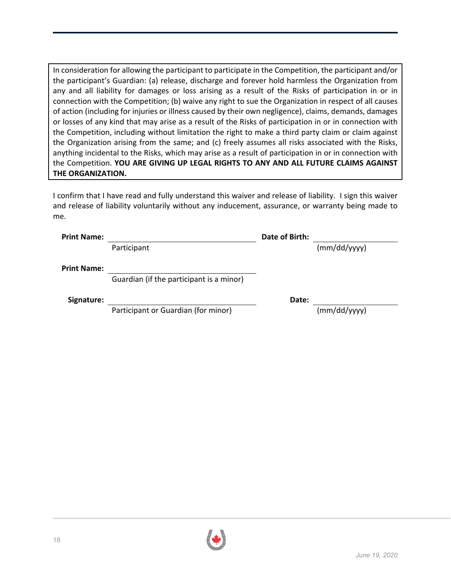In consideration for allowing the participant to participate in the Competition, the participant and/or the participant's Guardian: (a) release, discharge and forever hold harmless the Organization from any and all liability for damages or loss arising as a result of the Risks of participation in or in connection with the Competition; (b) waive any right to sue the Organization in respect of all causes of action (including for injuries or illness caused by their own negligence), claims, demands, damages or losses of any kind that may arise as a result of the Risks of participation in or in connection with the Competition, including without limitation the right to make a third party claim or claim against the Organization arising from the same; and (c) freely assumes all risks associated with the Risks, anything incidental to the Risks, which may arise as a result of participation in or in connection with the Competition. **YOU ARE GIVING UP LEGAL RIGHTS TO ANY AND ALL FUTURE CLAIMS AGAINST THE ORGANIZATION.**

I confirm that I have read and fully understand this waiver and release of liability. I sign this waiver and release of liability voluntarily without any inducement, assurance, or warranty being made to me.

| <b>Print Name:</b> | Date of Birth:                           |       |              |
|--------------------|------------------------------------------|-------|--------------|
|                    | Participant                              |       | (mm/dd/yyy)  |
| <b>Print Name:</b> |                                          |       |              |
|                    | Guardian (if the participant is a minor) |       |              |
| Signature:         |                                          | Date: |              |
|                    | Participant or Guardian (for minor)      |       | (mm/dd/yyyy) |
|                    |                                          |       |              |

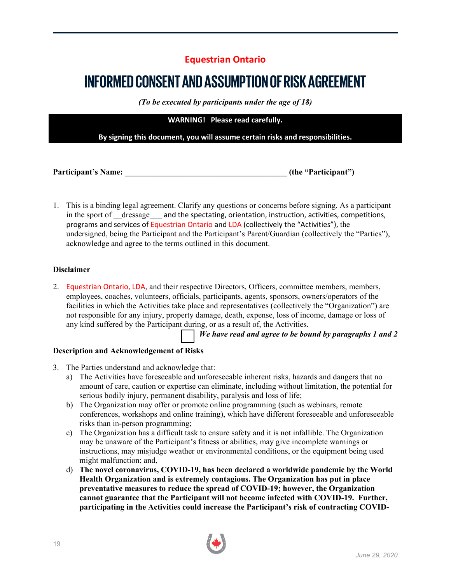# **Equestrian Ontario**

# **INFORMED CONSENT AND ASSUMPTION OF RISK AGREEMENT**

*(To be executed by participants under the age of 18)*

**WARNING! Please read carefully.** 

**By signing this document, you will assume certain risks and responsibilities.** 

**Participant's Name: \_\_\_\_\_\_\_\_\_\_\_\_\_\_\_\_\_\_\_\_\_\_\_\_\_\_\_\_\_\_\_\_\_\_\_\_\_\_\_\_ (the "Participant")**

1. This is a binding legal agreement. Clarify any questions or concerns before signing. As a participant in the sport of dressage and the spectating, orientation, instruction, activities, competitions, programs and services of Equestrian Ontario and LDA (collectively the "Activities"), the undersigned, being the Participant and the Participant's Parent/Guardian (collectively the "Parties"), acknowledge and agree to the terms outlined in this document.

## **Disclaimer**

2. Equestrian Ontario, LDA, and their respective Directors, Officers, committee members, members, employees, coaches, volunteers, officials, participants, agents, sponsors, owners/operators of the facilities in which the Activities take place and representatives (collectively the "Organization") are not responsible for any injury, property damage, death, expense, loss of income, damage or loss of any kind suffered by the Participant during, or as a result of, the Activities.

*We have read and agree to be bound by paragraphs 1 and 2*

## **Description and Acknowledgement of Risks**

- 3. The Parties understand and acknowledge that:
	- a) The Activities have foreseeable and unforeseeable inherent risks, hazards and dangers that no amount of care, caution or expertise can eliminate, including without limitation, the potential for serious bodily injury, permanent disability, paralysis and loss of life;
	- b) The Organization may offer or promote online programming (such as webinars, remote conferences, workshops and online training), which have different foreseeable and unforeseeable risks than in-person programming;
	- c) The Organization has a difficult task to ensure safety and it is not infallible. The Organization may be unaware of the Participant's fitness or abilities, may give incomplete warnings or instructions, may misjudge weather or environmental conditions, or the equipment being used might malfunction; and,
	- d) **The novel coronavirus, COVID-19, has been declared a worldwide pandemic by the World Health Organization and is extremely contagious. The Organization has put in place preventative measures to reduce the spread of COVID-19; however, the Organization cannot guarantee that the Participant will not become infected with COVID-19. Further, participating in the Activities could increase the Participant's risk of contracting COVID-**

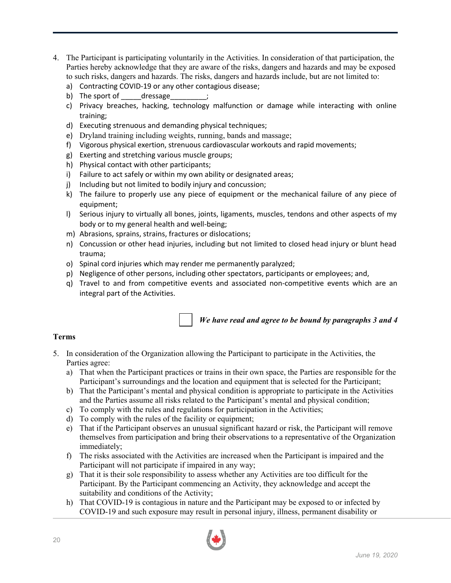- 4. The Participant is participating voluntarily in the Activities. In consideration of that participation, the Parties hereby acknowledge that they are aware of the risks, dangers and hazards and may be exposed to such risks, dangers and hazards. The risks, dangers and hazards include, but are not limited to:
	- a) Contracting COVID-19 or any other contagious disease;
	- b) The sport of \_\_\_\_\_\_dressage  $\qquad$  ;
	- c) Privacy breaches, hacking, technology malfunction or damage while interacting with online training;
	- d) Executing strenuous and demanding physical techniques;
	- e) Dryland training including weights, running, bands and massage;
	- f) Vigorous physical exertion, strenuous cardiovascular workouts and rapid movements;
	- g) Exerting and stretching various muscle groups;
	- h) Physical contact with other participants;
	- i) Failure to act safely or within my own ability or designated areas;
	- j) Including but not limited to bodily injury and concussion;
	- k) The failure to properly use any piece of equipment or the mechanical failure of any piece of equipment;
	- l) Serious injury to virtually all bones, joints, ligaments, muscles, tendons and other aspects of my body or to my general health and well-being;
	- m) Abrasions, sprains, strains, fractures or dislocations;
	- n) Concussion or other head injuries, including but not limited to closed head injury or blunt head trauma;
	- o) Spinal cord injuries which may render me permanently paralyzed;
	- p) Negligence of other persons, including other spectators, participants or employees; and,
	- q) Travel to and from competitive events and associated non-competitive events which are an integral part of the Activities.



*We have read and agree to be bound by paragraphs 3 and 4*

## **Terms**

- 5. In consideration of the Organization allowing the Participant to participate in the Activities, the Parties agree:
	- a) That when the Participant practices or trains in their own space, the Parties are responsible for the Participant's surroundings and the location and equipment that is selected for the Participant;
	- b) That the Participant's mental and physical condition is appropriate to participate in the Activities and the Parties assume all risks related to the Participant's mental and physical condition;
	- c) To comply with the rules and regulations for participation in the Activities;
	- d) To comply with the rules of the facility or equipment;
	- e) That if the Participant observes an unusual significant hazard or risk, the Participant will remove themselves from participation and bring their observations to a representative of the Organization immediately;
	- f) The risks associated with the Activities are increased when the Participant is impaired and the Participant will not participate if impaired in any way;
	- g) That it is their sole responsibility to assess whether any Activities are too difficult for the Participant. By the Participant commencing an Activity, they acknowledge and accept the suitability and conditions of the Activity;
	- h) That COVID-19 is contagious in nature and the Participant may be exposed to or infected by COVID-19 and such exposure may result in personal injury, illness, permanent disability or

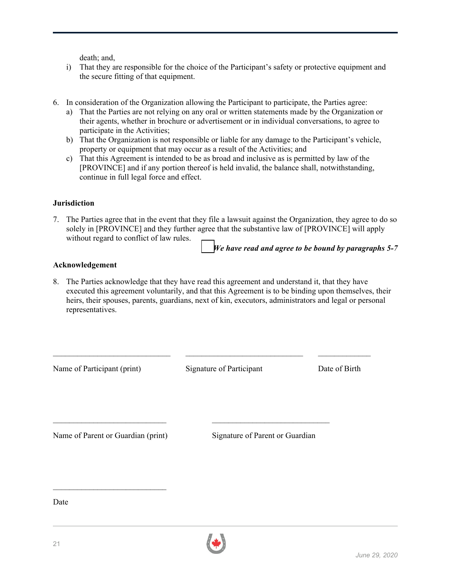death; and,

- i) That they are responsible for the choice of the Participant's safety or protective equipment and the secure fitting of that equipment.
- 6. In consideration of the Organization allowing the Participant to participate, the Parties agree:
	- a) That the Parties are not relying on any oral or written statements made by the Organization or their agents, whether in brochure or advertisement or in individual conversations, to agree to participate in the Activities;
	- b) That the Organization is not responsible or liable for any damage to the Participant's vehicle, property or equipment that may occur as a result of the Activities; and
	- c) That this Agreement is intended to be as broad and inclusive as is permitted by law of the [PROVINCE] and if any portion thereof is held invalid, the balance shall, notwithstanding, continue in full legal force and effect.

### **Jurisdiction**

7. The Parties agree that in the event that they file a lawsuit against the Organization, they agree to do so solely in [PROVINCE] and they further agree that the substantive law of [PROVINCE] will apply without regard to conflict of law rules.

*We have read and agree to be bound by paragraphs 5-7*

#### **Acknowledgement**

8. The Parties acknowledge that they have read this agreement and understand it, that they have executed this agreement voluntarily, and that this Agreement is to be binding upon themselves, their heirs, their spouses, parents, guardians, next of kin, executors, administrators and legal or personal representatives.

Name of Participant (print) Signature of Participant Date of Birth

\_\_\_\_\_\_\_\_\_\_\_\_\_\_\_\_\_\_\_\_\_\_\_\_\_\_\_\_\_ \_\_\_\_\_\_\_\_\_\_\_\_\_\_\_\_\_\_\_\_\_\_\_\_\_\_\_\_\_ \_\_\_\_\_\_\_\_\_\_\_\_\_

 $\mathcal{L}_\text{max} = \frac{1}{2} \sum_{i=1}^n \mathcal{L}_\text{max} \left[ \mathcal{L}_\text{max} \right] \mathcal{L}_\text{max} \left[ \mathcal{L}_\text{max} \right] \mathcal{L}_\text{max} \left[ \mathcal{L}_\text{max} \right] \mathcal{L}_\text{max} \left[ \mathcal{L}_\text{max} \right] \mathcal{L}_\text{max} \left[ \mathcal{L}_\text{max} \right] \mathcal{L}_\text{max} \left[ \mathcal{L}_\text{max} \right] \mathcal{L}_\text{max} \left[ \mathcal{L}_\text{max$ 

Name of Parent or Guardian (print) Signature of Parent or Guardian

 $\mathcal{L}_\text{max}$  , where  $\mathcal{L}_\text{max}$  and  $\mathcal{L}_\text{max}$ 

Date